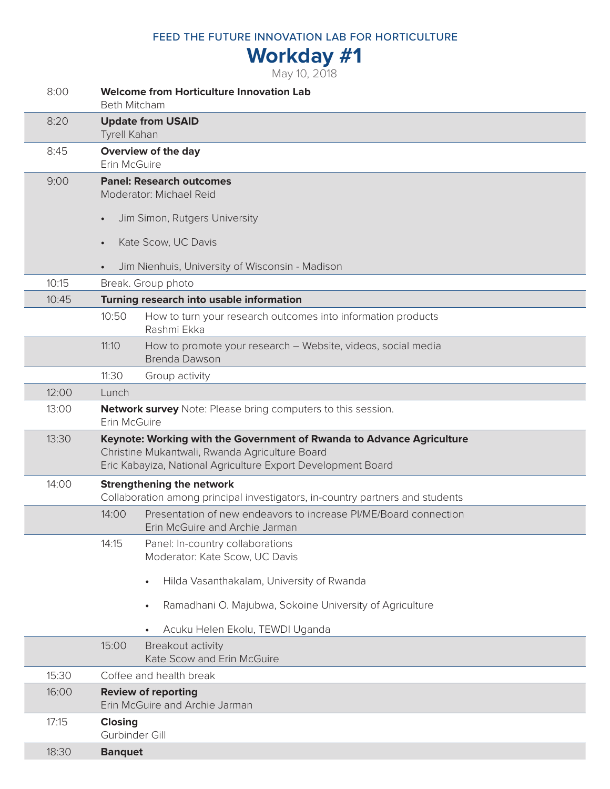FEED THE FUTURE INNOVATION LAB FOR HORTICULTURE

## **Workday #1**

May 10, 2018

| 8:00  | <b>Welcome from Horticulture Innovation Lab</b><br><b>Beth Mitcham</b>                                                                                                                  |
|-------|-----------------------------------------------------------------------------------------------------------------------------------------------------------------------------------------|
| 8:20  | <b>Update from USAID</b><br><b>Tyrell Kahan</b>                                                                                                                                         |
| 8:45  | Overview of the day<br>Erin McGuire                                                                                                                                                     |
| 9:00  | <b>Panel: Research outcomes</b><br>Moderator: Michael Reid<br>Jim Simon, Rutgers University                                                                                             |
|       | Kate Scow, UC Davis<br>$\bullet$                                                                                                                                                        |
|       | Jim Nienhuis, University of Wisconsin - Madison                                                                                                                                         |
| 10:15 | Break. Group photo                                                                                                                                                                      |
| 10:45 | Turning research into usable information                                                                                                                                                |
|       | How to turn your research outcomes into information products<br>10:50<br>Rashmi Ekka                                                                                                    |
|       | 11:10<br>How to promote your research - Website, videos, social media<br><b>Brenda Dawson</b>                                                                                           |
|       | 11:30<br>Group activity                                                                                                                                                                 |
| 12:00 | Lunch                                                                                                                                                                                   |
| 13:00 | Network survey Note: Please bring computers to this session.<br>Erin McGuire                                                                                                            |
| 13:30 | Keynote: Working with the Government of Rwanda to Advance Agriculture<br>Christine Mukantwali, Rwanda Agriculture Board<br>Eric Kabayiza, National Agriculture Export Development Board |
| 14:00 | <b>Strengthening the network</b><br>Collaboration among principal investigators, in-country partners and students                                                                       |
|       | Presentation of new endeavors to increase PI/ME/Board connection<br>14:00<br>Erin McGuire and Archie Jarman                                                                             |
|       | 14:15<br>Panel: In-country collaborations<br>Moderator: Kate Scow, UC Davis                                                                                                             |
|       | Hilda Vasanthakalam, University of Rwanda<br>$\bullet$                                                                                                                                  |
|       | Ramadhani O. Majubwa, Sokoine University of Agriculture<br>$\bullet$                                                                                                                    |
|       | Acuku Helen Ekolu, TEWDI Uganda                                                                                                                                                         |
|       | 15:00<br>Breakout activity<br>Kate Scow and Erin McGuire                                                                                                                                |
| 15:30 | Coffee and health break                                                                                                                                                                 |
| 16:00 | <b>Review of reporting</b><br>Erin McGuire and Archie Jarman                                                                                                                            |
| 17:15 | <b>Closing</b><br>Gurbinder Gill                                                                                                                                                        |
| 18:30 | <b>Banquet</b>                                                                                                                                                                          |